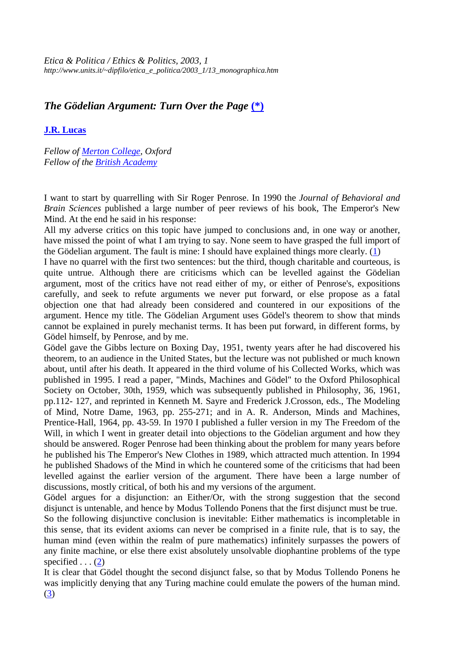*Etica & Politica / Ethics & Politics, 2003, 1 http://www.units.it/~dipfilo/etica\_e\_politica/2003\_1/13\_monographica.htm*

## *The Gödelian Argument: Turn Over the Page* **(\*)**

## **J.R. Lucas**

*Fellow of Merton College, Oxford Fellow of the British Academy*

I want to start by quarrelling with Sir Roger Penrose. In 1990 the *Journal of Behavioral and Brain Sciences* published a large number of peer reviews of his book, The Emperor's New Mind. At the end he said in his response:

All my adverse critics on this topic have jumped to conclusions and, in one way or another, have missed the point of what I am trying to say. None seem to have grasped the full import of the Gödelian argument. The fault is mine: I should have explained things more clearly. (1)

I have no quarrel with the first two sentences: but the third, though charitable and courteous, is quite untrue. Although there are criticisms which can be levelled against the Gödelian argument, most of the critics have not read either of my, or either of Penrose's, expositions carefully, and seek to refute arguments we never put forward, or else propose as a fatal objection one that had already been considered and countered in our expositions of the argument. Hence my title. The Gödelian Argument uses Gödel's theorem to show that minds cannot be explained in purely mechanist terms. It has been put forward, in different forms, by Gödel himself, by Penrose, and by me.

Gödel gave the Gibbs lecture on Boxing Day, 1951, twenty years after he had discovered his theorem, to an audience in the United States, but the lecture was not published or much known about, until after his death. It appeared in the third volume of his Collected Works, which was published in 1995. I read a paper, "Minds, Machines and Gödel" to the Oxford Philosophical Society on October, 30th, 1959, which was subsequently published in Philosophy, 36, 1961, pp.112- 127, and reprinted in Kenneth M. Sayre and Frederick J.Crosson, eds., The Modeling of Mind, Notre Dame, 1963, pp. 255-271; and in A. R. Anderson, Minds and Machines, Prentice-Hall, 1964, pp. 43-59. In 1970 I published a fuller version in my The Freedom of the Will, in which I went in greater detail into objections to the Gödelian argument and how they should be answered. Roger Penrose had been thinking about the problem for many years before he published his The Emperor's New Clothes in 1989, which attracted much attention. In 1994 he published Shadows of the Mind in which he countered some of the criticisms that had been levelled against the earlier version of the argument. There have been a large number of discussions, mostly critical, of both his and my versions of the argument.

Gödel argues for a disjunction: an Either/Or, with the strong suggestion that the second disjunct is untenable, and hence by Modus Tollendo Ponens that the first disjunct must be true.

So the following disjunctive conclusion is inevitable: Either mathematics is incompletable in this sense, that its evident axioms can never be comprised in a finite rule, that is to say, the human mind (even within the realm of pure mathematics) infinitely surpasses the powers of any finite machine, or else there exist absolutely unsolvable diophantine problems of the type specified  $\dots$  (2)

It is clear that Gödel thought the second disjunct false, so that by Modus Tollendo Ponens he was implicitly denying that any Turing machine could emulate the powers of the human mind. (3)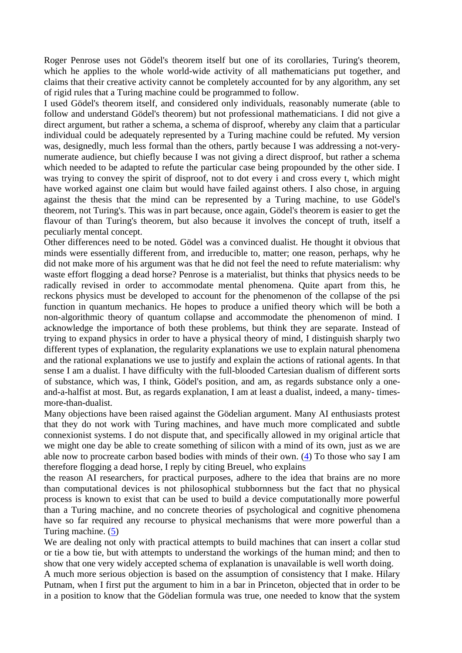Roger Penrose uses not Gödel's theorem itself but one of its corollaries, Turing's theorem, which he applies to the whole world-wide activity of all mathematicians put together, and claims that their creative activity cannot be completely accounted for by any algorithm, any set of rigid rules that a Turing machine could be programmed to follow.

I used Gödel's theorem itself, and considered only individuals, reasonably numerate (able to follow and understand Gödel's theorem) but not professional mathematicians. I did not give a direct argument, but rather a schema, a schema of disproof, whereby any claim that a particular individual could be adequately represented by a Turing machine could be refuted. My version was, designedly, much less formal than the others, partly because I was addressing a not-verynumerate audience, but chiefly because I was not giving a direct disproof, but rather a schema which needed to be adapted to refute the particular case being propounded by the other side. I was trying to convey the spirit of disproof, not to dot every i and cross every t, which might have worked against one claim but would have failed against others. I also chose, in arguing against the thesis that the mind can be represented by a Turing machine, to use Gödel's theorem, not Turing's. This was in part because, once again, Gödel's theorem is easier to get the flavour of than Turing's theorem, but also because it involves the concept of truth, itself a peculiarly mental concept.

Other differences need to be noted. Gödel was a convinced dualist. He thought it obvious that minds were essentially different from, and irreducible to, matter; one reason, perhaps, why he did not make more of his argument was that he did not feel the need to refute materialism: why waste effort flogging a dead horse? Penrose is a materialist, but thinks that physics needs to be radically revised in order to accommodate mental phenomena. Quite apart from this, he reckons physics must be developed to account for the phenomenon of the collapse of the psi function in quantum mechanics. He hopes to produce a unified theory which will be both a non-algorithmic theory of quantum collapse and accommodate the phenomenon of mind. I acknowledge the importance of both these problems, but think they are separate. Instead of trying to expand physics in order to have a physical theory of mind, I distinguish sharply two different types of explanation, the regularity explanations we use to explain natural phenomena and the rational explanations we use to justify and explain the actions of rational agents. In that sense I am a dualist. I have difficulty with the full-blooded Cartesian dualism of different sorts of substance, which was, I think, Gödel's position, and am, as regards substance only a oneand-a-halfist at most. But, as regards explanation, I am at least a dualist, indeed, a many- timesmore-than-dualist.

Many objections have been raised against the Gödelian argument. Many AI enthusiasts protest that they do not work with Turing machines, and have much more complicated and subtle connexionist systems. I do not dispute that, and specifically allowed in my original article that we might one day be able to create something of silicon with a mind of its own, just as we are able now to procreate carbon based bodies with minds of their own. (4) To those who say I am therefore flogging a dead horse, I reply by citing Breuel, who explains

the reason AI researchers, for practical purposes, adhere to the idea that brains are no more than computational devices is not philosophical stubbornness but the fact that no physical process is known to exist that can be used to build a device computationally more powerful than a Turing machine, and no concrete theories of psychological and cognitive phenomena have so far required any recourse to physical mechanisms that were more powerful than a Turing machine. (5)

We are dealing not only with practical attempts to build machines that can insert a collar stud or tie a bow tie, but with attempts to understand the workings of the human mind; and then to show that one very widely accepted schema of explanation is unavailable is well worth doing.

A much more serious objection is based on the assumption of consistency that I make. Hilary Putnam, when I first put the argument to him in a bar in Princeton, objected that in order to be in a position to know that the Gödelian formula was true, one needed to know that the system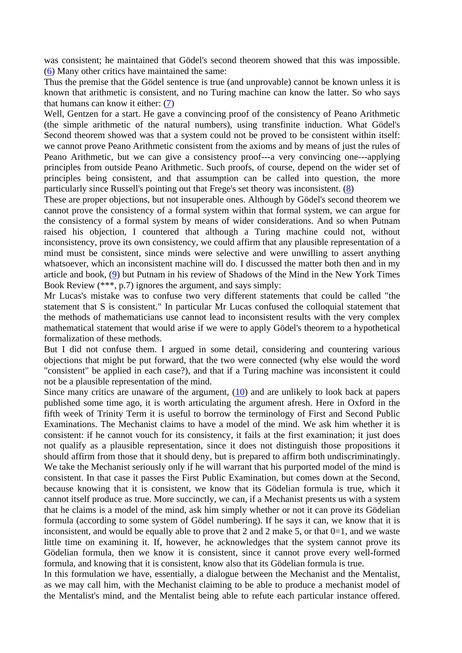was consistent; he maintained that Gödel's second theorem showed that this was impossible. (6) Many other critics have maintained the same:

Thus the premise that the Gödel sentence is true (and unprovable) cannot be known unless it is known that arithmetic is consistent, and no Turing machine can know the latter. So who says that humans can know it either: (7)

Well, Gentzen for a start. He gave a convincing proof of the consistency of Peano Arithmetic (the simple arithmetic of the natural numbers), using transfinite induction. What Gödel's Second theorem showed was that a system could not be proved to be consistent within itself: we cannot prove Peano Arithmetic consistent from the axioms and by means of just the rules of Peano Arithmetic, but we can give a consistency proof---a very convincing one---applying principles from outside Peano Arithmetic. Such proofs, of course, depend on the wider set of principles being consistent, and that assumption can be called into question, the more particularly since Russell's pointing out that Frege's set theory was inconsistent. (8)

These are proper objections, but not insuperable ones. Although by Gödel's second theorem we cannot prove the consistency of a formal system within that formal system, we can argue for the consistency of a formal system by means of wider considerations. And so when Putnam raised his objection, I countered that although a Turing machine could not, without inconsistency, prove its own consistency, we could affirm that any plausible representation of a mind must be consistent, since minds were selective and were unwilling to assert anything whatsoever, which an inconsistent machine will do. I discussed the matter both then and in my article and book, (9) but Putnam in his review of Shadows of the Mind in the New York Times Book Review (\*\*\*, p.7) ignores the argument, and says simply:

Mr Lucas's mistake was to confuse two very different statements that could be called "the statement that S is consistent." In particular Mr Lucas confused the colloquial statement that the methods of mathematicians use cannot lead to inconsistent results with the very complex mathematical statement that would arise if we were to apply Gödel's theorem to a hypothetical formalization of these methods.

But I did not confuse them. I argued in some detail, considering and countering various objections that might be put forward, that the two were connected (why else would the word "consistent" be applied in each case?), and that if a Turing machine was inconsistent it could not be a plausible representation of the mind.

Since many critics are unaware of the argument, (10) and are unlikely to look back at papers published some time ago, it is worth articulating the argument afresh. Here in Oxford in the fifth week of Trinity Term it is useful to borrow the terminology of First and Second Public Examinations. The Mechanist claims to have a model of the mind. We ask him whether it is consistent: if he cannot vouch for its consistency, it fails at the first examination; it just does not qualify as a plausible representation, since it does not distinguish those propositions it should affirm from those that it should deny, but is prepared to affirm both undiscriminatingly. We take the Mechanist seriously only if he will warrant that his purported model of the mind is consistent. In that case it passes the First Public Examination, but comes down at the Second, because knowing that it is consistent, we know that its Gödelian formula is true, which it cannot itself produce as true. More succinctly, we can, if a Mechanist presents us with a system that he claims is a model of the mind, ask him simply whether or not it can prove its Gödelian formula (according to some system of Gödel numbering). If he says it can, we know that it is inconsistent, and would be equally able to prove that 2 and 2 make 5, or that  $0=1$ , and we waste little time on examining it. If, however, he acknowledges that the system cannot prove its Gödelian formula, then we know it is consistent, since it cannot prove every well-formed formula, and knowing that it is consistent, know also that its Gödelian formula is true.

In this formulation we have, essentially, a dialogue between the Mechanist and the Mentalist, as we may call him, with the Mechanist claiming to be able to produce a mechanist model of the Mentalist's mind, and the Mentalist being able to refute each particular instance offered.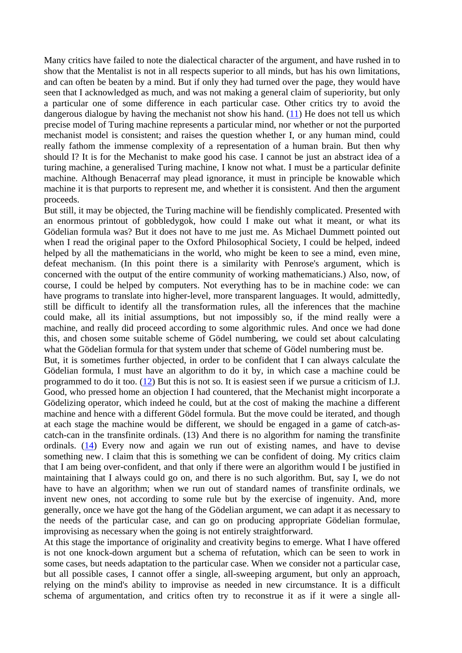Many critics have failed to note the dialectical character of the argument, and have rushed in to show that the Mentalist is not in all respects superior to all minds, but has his own limitations, and can often be beaten by a mind. But if only they had turned over the page, they would have seen that I acknowledged as much, and was not making a general claim of superiority, but only a particular one of some difference in each particular case. Other critics try to avoid the dangerous dialogue by having the mechanist not show his hand. (11) He does not tell us which precise model of Turing machine represents a particular mind, nor whether or not the purported mechanist model is consistent; and raises the question whether I, or any human mind, could really fathom the immense complexity of a representation of a human brain. But then why should I? It is for the Mechanist to make good his case. I cannot be just an abstract idea of a turing machine, a generalised Turing machine, I know not what. I must be a particular definite machine. Although Benacerraf may plead ignorance, it must in principle be knowable which machine it is that purports to represent me, and whether it is consistent. And then the argument proceeds.

But still, it may be objected, the Turing machine will be fiendishly complicated. Presented with an enormous printout of gobbledygok, how could I make out what it meant, or what its Gödelian formula was? But it does not have to me just me. As Michael Dummett pointed out when I read the original paper to the Oxford Philosophical Society, I could be helped, indeed helped by all the mathematicians in the world, who might be keen to see a mind, even mine, defeat mechanism. (In this point there is a similarity with Penrose's argument, which is concerned with the output of the entire community of working mathematicians.) Also, now, of course, I could be helped by computers. Not everything has to be in machine code: we can have programs to translate into higher-level, more transparent languages. It would, admittedly, still be difficult to identify all the transformation rules, all the inferences that the machine could make, all its initial assumptions, but not impossibly so, if the mind really were a machine, and really did proceed according to some algorithmic rules. And once we had done this, and chosen some suitable scheme of Gödel numbering, we could set about calculating what the Gödelian formula for that system under that scheme of Gödel numbering must be.

But, it is sometimes further objected, in order to be confident that I can always calculate the Gödelian formula, I must have an algorithm to do it by, in which case a machine could be programmed to do it too. (12) But this is not so. It is easiest seen if we pursue a criticism of I.J. Good, who pressed home an objection I had countered, that the Mechanist might incorporate a Gödelizing operator, which indeed he could, but at the cost of making the machine a different machine and hence with a different Gödel formula. But the move could be iterated, and though at each stage the machine would be different, we should be engaged in a game of catch-ascatch-can in the transfinite ordinals. (13) And there is no algorithm for naming the transfinite ordinals. (14) Every now and again we run out of existing names, and have to devise something new. I claim that this is something we can be confident of doing. My critics claim that I am being over-confident, and that only if there were an algorithm would I be justified in maintaining that I always could go on, and there is no such algorithm. But, say I, we do not have to have an algorithm; when we run out of standard names of transfinite ordinals, we invent new ones, not according to some rule but by the exercise of ingenuity. And, more generally, once we have got the hang of the Gödelian argument, we can adapt it as necessary to the needs of the particular case, and can go on producing appropriate Gödelian formulae, improvising as necessary when the going is not entirely straightforward.

At this stage the importance of originality and creativity begins to emerge. What I have offered is not one knock-down argument but a schema of refutation, which can be seen to work in some cases, but needs adaptation to the particular case. When we consider not a particular case, but all possible cases, I cannot offer a single, all-sweeping argument, but only an approach, relying on the mind's ability to improvise as needed in new circumstance. It is a difficult schema of argumentation, and critics often try to reconstrue it as if it were a single all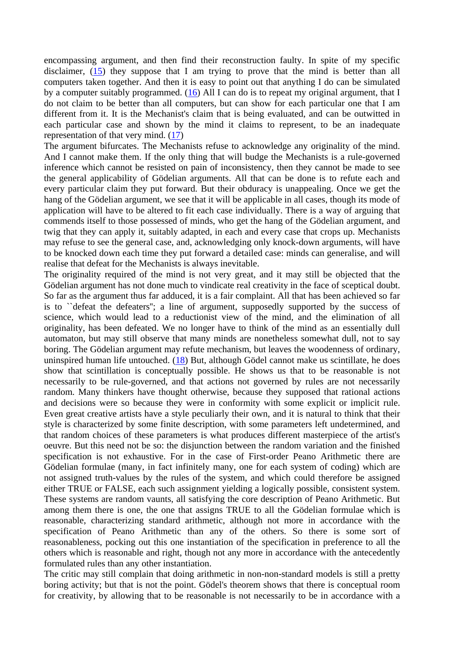encompassing argument, and then find their reconstruction faulty. In spite of my specific disclaimer,  $(15)$  they suppose that I am trying to prove that the mind is better than all computers taken together. And then it is easy to point out that anything I do can be simulated by a computer suitably programmed. (16) All I can do is to repeat my original argument, that I do not claim to be better than all computers, but can show for each particular one that I am different from it. It is the Mechanist's claim that is being evaluated, and can be outwitted in each particular case and shown by the mind it claims to represent, to be an inadequate representation of that very mind. (17)

The argument bifurcates. The Mechanists refuse to acknowledge any originality of the mind. And I cannot make them. If the only thing that will budge the Mechanists is a rule-governed inference which cannot be resisted on pain of inconsistency, then they cannot be made to see the general applicability of Gödelian arguments. All that can be done is to refute each and every particular claim they put forward. But their obduracy is unappealing. Once we get the hang of the Gödelian argument, we see that it will be applicable in all cases, though its mode of application will have to be altered to fit each case individually. There is a way of arguing that commends itself to those possessed of minds, who get the hang of the Gödelian argument, and twig that they can apply it, suitably adapted, in each and every case that crops up. Mechanists may refuse to see the general case, and, acknowledging only knock-down arguments, will have to be knocked down each time they put forward a detailed case: minds can generalise, and will realise that defeat for the Mechanists is always inevitable.

The originality required of the mind is not very great, and it may still be objected that the Gödelian argument has not done much to vindicate real creativity in the face of sceptical doubt. So far as the argument thus far adduced, it is a fair complaint. All that has been achieved so far is to ``defeat the defeaters''; a line of argument, supposedly supported by the success of science, which would lead to a reductionist view of the mind, and the elimination of all originality, has been defeated. We no longer have to think of the mind as an essentially dull automaton, but may still observe that many minds are nonetheless somewhat dull, not to say boring. The Gödelian argument may refute mechanism, but leaves the woodenness of ordinary, uninspired human life untouched. (18) But, although Gödel cannot make us scintillate, he does show that scintillation is conceptually possible. He shows us that to be reasonable is not necessarily to be rule-governed, and that actions not governed by rules are not necessarily random. Many thinkers have thought otherwise, because they supposed that rational actions and decisions were so because they were in conformity with some explicit or implicit rule. Even great creative artists have a style peculiarly their own, and it is natural to think that their style is characterized by some finite description, with some parameters left undetermined, and that random choices of these parameters is what produces different masterpiece of the artist's oeuvre. But this need not be so: the disjunction between the random variation and the finished specification is not exhaustive. For in the case of First-order Peano Arithmetic there are Gödelian formulae (many, in fact infinitely many, one for each system of coding) which are not assigned truth-values by the rules of the system, and which could therefore be assigned either TRUE or FALSE, each such assignment yielding a logically possible, consistent system. These systems are random vaunts, all satisfying the core description of Peano Arithmetic. But among them there is one, the one that assigns TRUE to all the Gödelian formulae which is reasonable, characterizing standard arithmetic, although not more in accordance with the specification of Peano Arithmetic than any of the others. So there is some sort of reasonableness, pocking out this one instantiation of the specification in preference to all the others which is reasonable and right, though not any more in accordance with the antecedently formulated rules than any other instantiation.

The critic may still complain that doing arithmetic in non-non-standard models is still a pretty boring activity; but that is not the point. Gödel's theorem shows that there is conceptual room for creativity, by allowing that to be reasonable is not necessarily to be in accordance with a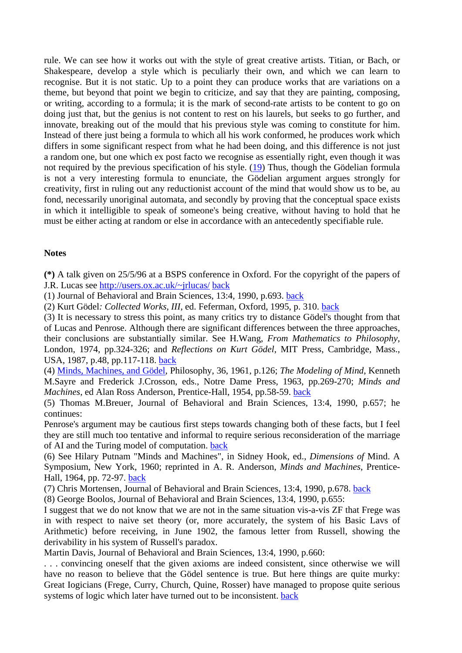rule. We can see how it works out with the style of great creative artists. Titian, or Bach, or Shakespeare, develop a style which is peculiarly their own, and which we can learn to recognise. But it is not static. Up to a point they can produce works that are variations on a theme, but beyond that point we begin to criticize, and say that they are painting, composing, or writing, according to a formula; it is the mark of second-rate artists to be content to go on doing just that, but the genius is not content to rest on his laurels, but seeks to go further, and innovate, breaking out of the mould that his previous style was coming to constitute for him. Instead of there just being a formula to which all his work conformed, he produces work which differs in some significant respect from what he had been doing, and this difference is not just a random one, but one which ex post facto we recognise as essentially right, even though it was not required by the previous specification of his style. (19) Thus, though the Gödelian formula is not a very interesting formula to enunciate, the Gödelian argument argues strongly for creativity, first in ruling out any reductionist account of the mind that would show us to be, au fond, necessarily unoriginal automata, and secondly by proving that the conceptual space exists in which it intelligible to speak of someone's being creative, without having to hold that he must be either acting at random or else in accordance with an antecedently specifiable rule.

## **Notes**

**(\*)** A talk given on 25/5/96 at a BSPS conference in Oxford. For the copyright of the papers of J.R. Lucas see http://users.ox.ac.uk/~jrlucas/ back

(1) Journal of Behavioral and Brain Sciences, 13:4, 1990, p.693. back

(2) Kurt Gödel*: Collected Works*, *III*, ed. Feferman, Oxford, 1995, p. 310. back

(3) It is necessary to stress this point, as many critics try to distance Gödel's thought from that of Lucas and Penrose. Although there are significant differences between the three approaches, their conclusions are substantially similar. See H.Wang, *From Mathematics to Philosophy*, London, 1974, pp.324-326; and *Reflections on Kurt Gödel*, MIT Press, Cambridge, Mass., USA, 1987, p.48, pp.117-118. back

(4) Minds, Machines, and Gödel, Philosophy, 36, 1961, p.126; *The Modeling of Mind*, Kenneth M.Sayre and Frederick J.Crosson, eds., Notre Dame Press, 1963, pp.269-270; *Minds and Machines*, ed Alan Ross Anderson, Prentice-Hall, 1954, pp.58-59. back

(5) Thomas M.Breuer, Journal of Behavioral and Brain Sciences, 13:4, 1990, p.657; he continues:

Penrose's argument may be cautious first steps towards changing both of these facts, but I feel they are still much too tentative and informal to require serious reconsideration of the marriage of AI and the Turing model of computation. back

(6) See Hilary Putnam "Minds and Machines", in Sidney Hook, ed., *Dimensions of* Mind. A Symposium, New York, 1960; reprinted in A. R. Anderson, *Minds and Machines*, Prentice-Hall, 1964, pp. 72-97. back

(7) Chris Mortensen, Journal of Behavioral and Brain Sciences, 13:4, 1990, p.678. back

(8) George Boolos, Journal of Behavioral and Brain Sciences, 13:4, 1990, p.655:

I suggest that we do not know that we are not in the same situation vis-a-vis ZF that Frege was in with respect to naive set theory (or, more accurately, the system of his Basic Lavs of Arithmetic) before receiving, in June 1902, the famous letter from Russell, showing the derivability in his system of Russell's paradox.

Martin Davis, Journal of Behavioral and Brain Sciences, 13:4, 1990, p.660:

. . . convincing oneself that the given axioms are indeed consistent, since otherwise we will have no reason to believe that the Gödel sentence is true. But here things are quite murky: Great Iogicians (Frege, Curry, Church, Quine, Rosser) have managed to propose quite serious systems of logic which later have turned out to be inconsistent. back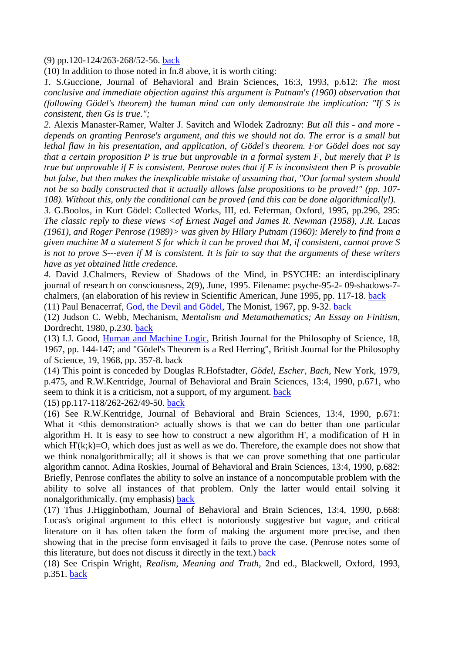## (9) pp.120-124/263-268/52-56. back

(10) In addition to those noted in fn.8 above, it is worth citing:

*1*. S.Guccione, Journal of Behavioral and Brain Sciences, 16:3, 1993, p.612: *The most conclusive and immediate objection against this argument is Putnam's (1960) observation that (following Gödel's theorem) the human mind can only demonstrate the implication: "If S is consistent, then Gs is true.";* 

*2*. Alexis Manaster-Ramer, Walter J. Savitch and Wlodek Zadrozny: *But all this - and more depends on granting Penrose's argument, and this we should not do. The error is a small but lethal flaw in his presentation, and application, of Gödel's theorem. For Gödel does not say that a certain proposition P is true but unprovable in a formal system F, but merely that P is true but unprovable if F is consistent. Penrose notes that if F is inconsistent then P is provable but false, but then makes the inexplicable mistake of assuming that, "Our formal system should not be so badly constructed that it actually allows false propositions to be proved!" (pp. 107- 108). Without this, only the conditional can be proved (and this can be done algorithmically!).* 

*3*. G.Boolos, in Kurt Gödel: Collected Works, III, ed. Feferman, Oxford, 1995, pp.296, 295: *The classic reply to these views <of Ernest Nagel and James R. Newman (1958), J.R. Lucas (1961), and Roger Penrose (1989)> was given by Hilary Putnam (1960): Merely to find from a given machine M a statement S for which it can be proved that M, if consistent, cannot prove S is not to prove S---even if M is consistent. It is fair to say that the arguments of these writers have as yet obtained little credence.* 

*4*. David J.Chalmers, Review of Shadows of the Mind, in PSYCHE: an interdisciplinary journal of research on consciousness, 2(9), June, 1995. Filename: psyche-95-2- 09-shadows-7 chalmers, (an elaboration of his review in Scientific American, June 1995, pp. 117-18. back

(11) Paul Benacerraf, God, the Devil and Gödel, The Monist, 1967, pp. 9-32. back

(12) Judson C. Webb, Mechanism, *Mentalism and Metamathematics; An Essay on Finitism*, Dordrecht, 1980, p.230. back

(13) I.J. Good, Human and Machine Logic, British Journal for the Philosophy of Science, 18, 1967, pp. 144-147; and "Gödel's Theorem is a Red Herring", British Journal for the Philosophy of Science, 19, 1968, pp. 357-8. back

(14) This point is conceded by Douglas R.Hofstadter, *Gödel, Escher, Bach*, New York, 1979, p.475, and R.W.Kentridge, Journal of Behavioral and Brain Sciences, 13:4, 1990, p.671, who seem to think it is a criticism, not a support, of my argument. back

(15) pp.117-118/262-262/49-50. back

(16) See R.W.Kentridge, Journal of Behavioral and Brain Sciences, 13:4, 1990, p.671: What it <this demonstration actually shows is that we can do better than one particular algorithm H. It is easy to see how to construct a new algorithm H', a modification of H in which  $H'(k;k)=O$ , which does just as well as we do. Therefore, the example does not show that we think nonalgorithmically; all it shows is that we can prove something that one particular algorithm cannot. Adina Roskies, Journal of Behavioral and Brain Sciences, 13:4, 1990, p.682: Briefly, Penrose conflates the ability to solve an instance of a noncomputable problem with the ability to solve all instances of that problem. Only the latter would entail solving it nonalgorithmically. (my emphasis) back

(17) Thus J.Higginbotham, Journal of Behavioral and Brain Sciences, 13:4, 1990, p.668: Lucas's original argument to this effect is notoriously suggestive but vague, and critical literature on it has often taken the form of making the argument more precise, and then showing that in the precise form envisaged it fails to prove the case. (Penrose notes some of this literature, but does not discuss it directly in the text.) back

(18) See Crispin Wright, *Realism, Meaning and Truth*, 2nd ed., Blackwell, Oxford, 1993, p.351. back